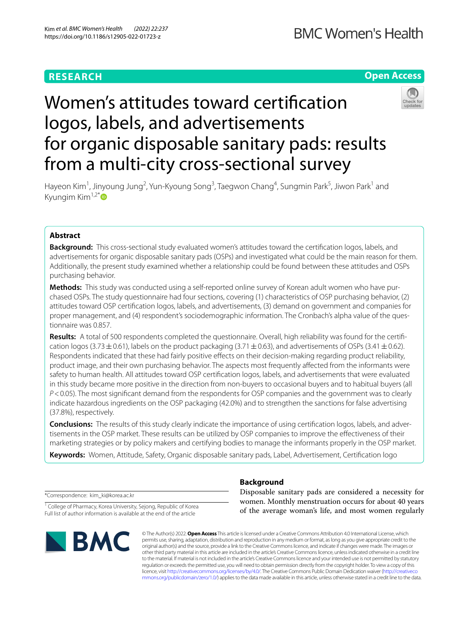# **RESEARCH**

**BMC Women's Health** 

# **Open Access**

# Women's attitudes toward certifcation logos, labels, and advertisements for organic disposable sanitary pads: results from a multi-city cross-sectional survey



Hayeon Kim<sup>1</sup>, Jinyoung Jung<sup>2</sup>, Yun-Kyoung Song<sup>3</sup>, Taegwon Chang<sup>4</sup>, Sungmin Park<sup>5</sup>, Jiwon Park<sup>1</sup> and Kyungim Kim $1,2^*$ 

# **Abstract**

**Background:** This cross-sectional study evaluated women's attitudes toward the certifcation logos, labels, and advertisements for organic disposable sanitary pads (OSPs) and investigated what could be the main reason for them. Additionally, the present study examined whether a relationship could be found between these attitudes and OSPs purchasing behavior.

**Methods:** This study was conducted using a self-reported online survey of Korean adult women who have pur‑ chased OSPs. The study questionnaire had four sections, covering (1) characteristics of OSP purchasing behavior, (2) attitudes toward OSP certifcation logos, labels, and advertisements, (3) demand on government and companies for proper management, and (4) respondent's sociodemographic information. The Cronbach's alpha value of the questionnaire was 0.857.

Results: A total of 500 respondents completed the questionnaire. Overall, high reliability was found for the certification logos (3.73  $\pm$  0.61), labels on the product packaging (3.71  $\pm$  0.63), and advertisements of OSPs (3.41  $\pm$  0.62). Respondents indicated that these had fairly positive efects on their decision-making regarding product reliability, product image, and their own purchasing behavior. The aspects most frequently afected from the informants were safety to human health. All attitudes toward OSP certifcation logos, labels, and advertisements that were evaluated in this study became more positive in the direction from non-buyers to occasional buyers and to habitual buyers (all *P*<0.05). The most signifcant demand from the respondents for OSP companies and the government was to clearly indicate hazardous ingredients on the OSP packaging (42.0%) and to strengthen the sanctions for false advertising (37.8%), respectively.

**Conclusions:** The results of this study clearly indicate the importance of using certifcation logos, labels, and adver‑ tisements in the OSP market. These results can be utilized by OSP companies to improve the efectiveness of their marketing strategies or by policy makers and certifying bodies to manage the informants properly in the OSP market.

**Keywords:** Women, Attitude, Safety, Organic disposable sanitary pads, Label, Advertisement, Certifcation logo

\*Correspondence: kim\_ki@korea.ac.kr

<sup>1</sup> College of Pharmacy, Korea University, Sejong, Republic of Korea Full list of author information is available at the end of the article



# **Background**

Disposable sanitary pads are considered a necessity for women. Monthly menstruation occurs for about 40 years of the average woman's life, and most women regularly

© The Author(s) 2022. **Open Access** This article is licensed under a Creative Commons Attribution 4.0 International License, which permits use, sharing, adaptation, distribution and reproduction in any medium or format, as long as you give appropriate credit to the original author(s) and the source, provide a link to the Creative Commons licence, and indicate if changes were made. The images or other third party material in this article are included in the article's Creative Commons licence, unless indicated otherwise in a credit line to the material. If material is not included in the article's Creative Commons licence and your intended use is not permitted by statutory regulation or exceeds the permitted use, you will need to obtain permission directly from the copyright holder. To view a copy of this licence, visit [http://creativecommons.org/licenses/by/4.0/.](http://creativecommons.org/licenses/by/4.0/) The Creative Commons Public Domain Dedication waiver ([http://creativeco](http://creativecommons.org/publicdomain/zero/1.0/) [mmons.org/publicdomain/zero/1.0/](http://creativecommons.org/publicdomain/zero/1.0/)) applies to the data made available in this article, unless otherwise stated in a credit line to the data.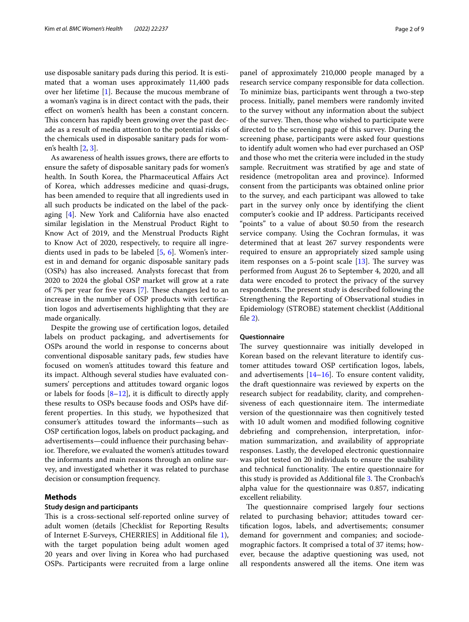use disposable sanitary pads during this period. It is estimated that a woman uses approximately 11,400 pads over her lifetime [[1\]](#page-7-0). Because the mucous membrane of a woman's vagina is in direct contact with the pads, their efect on women's health has been a constant concern. This concern has rapidly been growing over the past decade as a result of media attention to the potential risks of the chemicals used in disposable sanitary pads for women's health [[2,](#page-7-1) [3](#page-7-2)].

As awareness of health issues grows, there are eforts to ensure the safety of disposable sanitary pads for women's health. In South Korea, the Pharmaceutical Afairs Act of Korea, which addresses medicine and quasi-drugs, has been amended to require that all ingredients used in all such products be indicated on the label of the packaging [[4\]](#page-7-3). New York and California have also enacted similar legislation in the Menstrual Product Right to Know Act of 2019, and the Menstrual Products Right to Know Act of 2020, respectively, to require all ingredients used in pads to be labeled [\[5](#page-7-4), [6](#page-7-5)]. Women's interest in and demand for organic disposable sanitary pads (OSPs) has also increased. Analysts forecast that from 2020 to 2024 the global OSP market will grow at a rate of 7% per year for five years  $[7]$  $[7]$ . These changes led to an increase in the number of OSP products with certifcation logos and advertisements highlighting that they are made organically.

Despite the growing use of certifcation logos, detailed labels on product packaging, and advertisements for OSPs around the world in response to concerns about conventional disposable sanitary pads, few studies have focused on women's attitudes toward this feature and its impact. Although several studies have evaluated consumers' perceptions and attitudes toward organic logos or labels for foods  $[8-12]$  $[8-12]$ , it is difficult to directly apply these results to OSPs because foods and OSPs have different properties. In this study, we hypothesized that consumer's attitudes toward the informants—such as OSP certifcation logos, labels on product packaging, and advertisements—could infuence their purchasing behavior. Therefore, we evaluated the women's attitudes toward the informants and main reasons through an online survey, and investigated whether it was related to purchase decision or consumption frequency.

#### **Methods**

#### **Study design and participants**

This is a cross-sectional self-reported online survey of adult women (details [Checklist for Reporting Results of Internet E-Surveys, CHERRIES] in Additional fle [1](#page-7-6)), with the target population being adult women aged 20 years and over living in Korea who had purchased OSPs. Participants were recruited from a large online panel of approximately 210,000 people managed by a research service company responsible for data collection. To minimize bias, participants went through a two-step process. Initially, panel members were randomly invited to the survey without any information about the subject of the survey. Then, those who wished to participate were directed to the screening page of this survey. During the screening phase, participants were asked four questions to identify adult women who had ever purchased an OSP and those who met the criteria were included in the study sample. Recruitment was stratifed by age and state of residence (metropolitan area and province). Informed consent from the participants was obtained online prior to the survey, and each participant was allowed to take part in the survey only once by identifying the client computer's cookie and IP address. Participants received "points" to a value of about \$0.50 from the research service company. Using the Cochran formulas, it was determined that at least 267 survey respondents were required to ensure an appropriately sized sample using item responses on a 5-point scale  $[13]$  $[13]$ . The survey was performed from August 26 to September 4, 2020, and all data were encoded to protect the privacy of the survey respondents. The present study is described following the Strengthening the Reporting of Observational studies in Epidemiology (STROBE) statement checklist (Additional fle [2](#page-7-7)).

#### **Questionnaire**

The survey questionnaire was initially developed in Korean based on the relevant literature to identify customer attitudes toward OSP certifcation logos, labels, and advertisements [\[14](#page-8-4)[–16](#page-8-5)]. To ensure content validity, the draft questionnaire was reviewed by experts on the research subject for readability, clarity, and comprehensiveness of each questionnaire item. The intermediate version of the questionnaire was then cognitively tested with 10 adult women and modifed following cognitive debriefng and comprehension, interpretation, information summarization, and availability of appropriate responses. Lastly, the developed electronic questionnaire was pilot tested on 20 individuals to ensure the usability and technical functionality. The entire questionnaire for this study is provided as Additional file [3.](#page-7-8) The Cronbach's alpha value for the questionnaire was 0.857, indicating excellent reliability.

The questionnaire comprised largely four sections related to purchasing behavior; attitudes toward certifcation logos, labels, and advertisements; consumer demand for government and companies; and sociodemographic factors. It comprised a total of 37 items; however, because the adaptive questioning was used, not all respondents answered all the items. One item was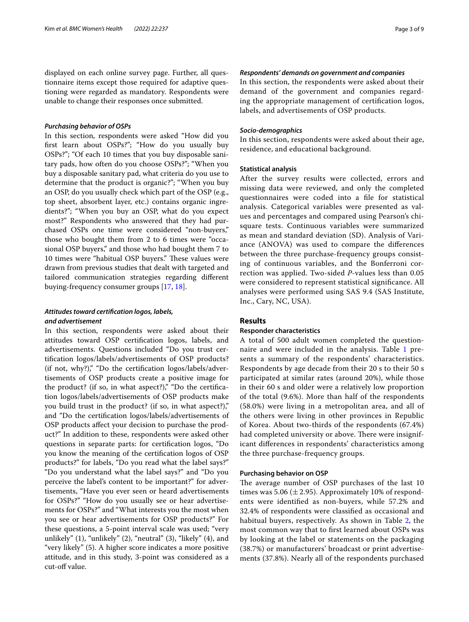displayed on each online survey page. Further, all questionnaire items except those required for adaptive questioning were regarded as mandatory. Respondents were unable to change their responses once submitted.

#### *Purchasing behavior of OSPs*

In this section, respondents were asked "How did you frst learn about OSPs?"; "How do you usually buy OSPs?"; "Of each 10 times that you buy disposable sanitary pads, how often do you choose OSPs?"; "When you buy a disposable sanitary pad, what criteria do you use to determine that the product is organic?"; "When you buy an OSP, do you usually check which part of the OSP (e.g., top sheet, absorbent layer, etc.) contains organic ingredients?"; "When you buy an OSP, what do you expect most?" Respondents who answered that they had purchased OSPs one time were considered "non-buyers," those who bought them from 2 to 6 times were "occasional OSP buyers," and those who had bought them 7 to 10 times were "habitual OSP buyers." These values were drawn from previous studies that dealt with targeted and tailored communication strategies regarding diferent buying-frequency consumer groups [[17,](#page-8-6) [18](#page-8-7)].

## *Attitudes toward certifcation logos, labels, and advertisement*

In this section, respondents were asked about their attitudes toward OSP certifcation logos, labels, and advertisements. Questions included "Do you trust certifcation logos/labels/advertisements of OSP products? (if not, why?)," "Do the certifcation logos/labels/advertisements of OSP products create a positive image for the product? (if so, in what aspect?)," "Do the certification logos/labels/advertisements of OSP products make you build trust in the product? (if so, in what aspect?)," and "Do the certifcation logos/labels/advertisements of OSP products afect your decision to purchase the product?" In addition to these, respondents were asked other questions in separate parts: for certifcation logos, "Do you know the meaning of the certifcation logos of OSP products?" for labels, "Do you read what the label says?" "Do you understand what the label says?" and "Do you perceive the label's content to be important?" for advertisements, "Have you ever seen or heard advertisements for OSPs?" "How do you usually see or hear advertisements for OSPs?" and "What interests you the most when you see or hear advertisements for OSP products?" For these questions, a 5-point interval scale was used; "very unlikely" (1), "unlikely" (2), "neutral" (3), "likely" (4), and "very likely" (5). A higher score indicates a more positive attitude, and in this study, 3-point was considered as a cut-off value.

#### *Respondents' demands on government and companies*

In this section, the respondents were asked about their demand of the government and companies regarding the appropriate management of certifcation logos, labels, and advertisements of OSP products.

#### *Socio‑demographics*

In this section, respondents were asked about their age, residence, and educational background.

#### **Statistical analysis**

After the survey results were collected, errors and missing data were reviewed, and only the completed questionnaires were coded into a fle for statistical analysis. Categorical variables were presented as values and percentages and compared using Pearson's chisquare tests. Continuous variables were summarized as mean and standard deviation (SD). Analysis of Variance (ANOVA) was used to compare the diferences between the three purchase-frequency groups consisting of continuous variables, and the Bonferroni correction was applied. Two-sided *P*-values less than 0.05 were considered to represent statistical signifcance. All analyses were performed using SAS 9.4 (SAS Institute, Inc., Cary, NC, USA).

#### **Results**

#### **Responder characteristics**

A total of 500 adult women completed the question-naire and were included in the analysis. Table [1](#page-3-0) presents a summary of the respondents' characteristics. Respondents by age decade from their 20 s to their 50 s participated at similar rates (around 20%), while those in their 60 s and older were a relatively low proportion of the total (9.6%). More than half of the respondents (58.0%) were living in a metropolitan area, and all of the others were living in other provinces in Republic of Korea. About two-thirds of the respondents (67.4%) had completed university or above. There were insignificant diferences in respondents' characteristics among the three purchase-frequency groups.

#### **Purchasing behavior on OSP**

The average number of OSP purchases of the last 10 times was 5.06 ( $\pm$  2.95). Approximately 10% of respondents were identifed as non-buyers, while 57.2% and 32.4% of respondents were classifed as occasional and habitual buyers, respectively. As shown in Table [2,](#page-3-1) the most common way that to frst learned about OSPs was by looking at the label or statements on the packaging (38.7%) or manufacturers' broadcast or print advertisements (37.8%). Nearly all of the respondents purchased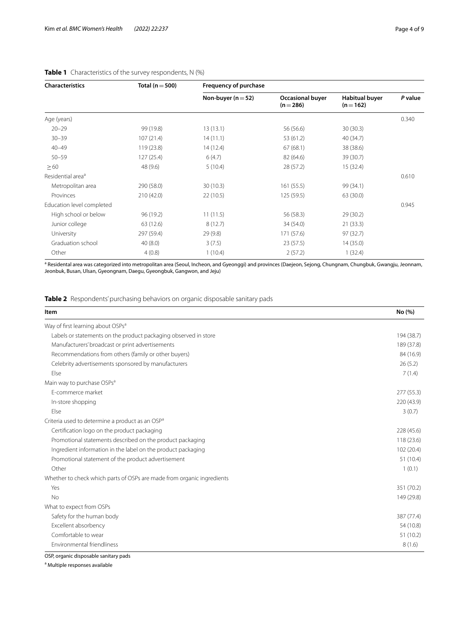| <b>Characteristics</b>        | Total ( $n = 500$ ) | Frequency of purchase  |                                      |                                    |         |  |  |
|-------------------------------|---------------------|------------------------|--------------------------------------|------------------------------------|---------|--|--|
|                               |                     | Non-buyer ( $n = 52$ ) | <b>Occasional buyer</b><br>$(n=286)$ | <b>Habitual buyer</b><br>$(n=162)$ | P value |  |  |
| Age (years)                   |                     |                        |                                      |                                    | 0.340   |  |  |
| $20 - 29$                     | 99 (19.8)           | 13(13.1)               | 56 (56.6)                            | 30(30.3)                           |         |  |  |
| $30 - 39$                     | 107(21.4)           | 14(11.1)               | 53 (61.2)                            | 40 (34.7)                          |         |  |  |
| $40 - 49$                     | 119(23.8)           | 14(12.4)               | 67(68.1)                             | 38 (38.6)                          |         |  |  |
| $50 - 59$                     | 127 (25.4)          | 6(4.7)                 | 82 (64.6)                            | 39 (30.7)                          |         |  |  |
| $\geq 60$                     | 48 (9.6)            | 5(10.4)                | 28 (57.2)                            | 15 (32.4)                          |         |  |  |
| Residential area <sup>a</sup> |                     |                        |                                      |                                    | 0.610   |  |  |
| Metropolitan area             | 290 (58.0)          | 30(10.3)               | 161(55.5)                            | 99 (34.1)                          |         |  |  |
| Provinces                     | 210 (42.0)          | 22(10.5)               | 125 (59.5)                           | 63 (30.0)                          |         |  |  |
| Education level completed     |                     |                        |                                      |                                    | 0.945   |  |  |
| High school or below          | 96 (19.2)           | 11(11.5)               | 56 (58.3)                            | 29 (30.2)                          |         |  |  |
| Junior college                | 63 (12.6)           | 8(12.7)                | 34 (54.0)                            | 21(33.3)                           |         |  |  |
| University                    | 297 (59.4)          | 29(9.8)                | 171 (57.6)                           | 97 (32.7)                          |         |  |  |
| Graduation school             | 40(8.0)             | 3(7.5)                 | 23(57.5)                             | 14(35.0)                           |         |  |  |
| Other                         | 4(0.8)              | 1(10.4)                | 2(57.2)                              | 1(32.4)                            |         |  |  |

# <span id="page-3-0"></span>**Table 1** Characteristics of the survey respondents, N (%)

<sup>a</sup> Residental area was categorized into metropolitan area (Seoul, Incheon, and Gyeonggi) and provinces (Daejeon, Sejong, Chungnam, Chungbuk, Gwangju, Jeonnam, Jeonbuk, Busan, Ulsan, Gyeongnam, Daegu, Gyeongbuk, Gangwon, and Jeju)

<span id="page-3-1"></span>**Table 2** Respondents' purchasing behaviors on organic disposable sanitary pads

| Item                                                                   | No (%)     |
|------------------------------------------------------------------------|------------|
| Way of first learning about OSPs <sup>a</sup>                          |            |
| Labels or statements on the product packaging observed in store        | 194 (38.7) |
| Manufacturers' broadcast or print advertisements                       | 189 (37.8) |
| Recommendations from others (family or other buyers)                   | 84 (16.9)  |
| Celebrity advertisements sponsored by manufacturers                    | 26(5.2)    |
| Else                                                                   | 7(1.4)     |
| Main way to purchase OSPs <sup>a</sup>                                 |            |
| F-commerce market                                                      | 277 (55.3) |
| In-store shopping                                                      | 220 (43.9) |
| Else                                                                   | 3(0.7)     |
| Criteria used to determine a product as an OSP <sup>a</sup>            |            |
| Certification logo on the product packaging                            | 228 (45.6) |
| Promotional statements described on the product packaging              | 118 (23.6) |
| Ingredient information in the label on the product packaging           | 102 (20.4) |
| Promotional statement of the product advertisement                     | 51 (10.4)  |
| Other                                                                  | 1(0.1)     |
| Whether to check which parts of OSPs are made from organic ingredients |            |
| Yes                                                                    | 351 (70.2) |
| <b>No</b>                                                              | 149 (29.8) |
| What to expect from OSPs                                               |            |
| Safety for the human body                                              | 387 (77.4) |
| Excellent absorbency                                                   | 54 (10.8)  |
| Comfortable to wear                                                    | 51 (10.2)  |
| Environmental friendliness                                             | 8(1.6)     |

OSP, organic disposable sanitary pads

<sup>a</sup> Multiple responses available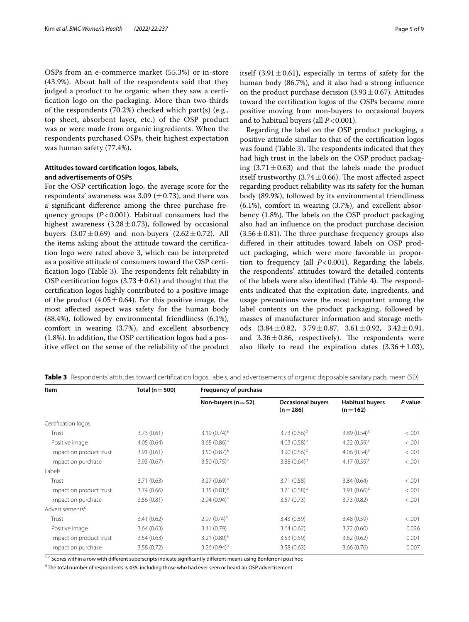OSPs from an e-commerce market (55.3%) or in-store (43.9%). About half of the respondents said that they judged a product to be organic when they saw a certifcation logo on the packaging. More than two-thirds of the respondents (70.2%) checked which part(s) (e.g., top sheet, absorbent layer, etc.) of the OSP product was or were made from organic ingredients. When the respondents purchased OSPs, their highest expectation was human safety (77.4%).

### **Attitudes toward certifcation logos, labels, and advertisements of OSPs**

For the OSP certifcation logo, the average score for the respondents' awareness was 3.09 ( $\pm$ 0.73), and there was a signifcant diference among the three purchase frequency groups (*P*<0.001). Habitual consumers had the highest awareness  $(3.28 \pm 0.73)$ , followed by occasional buyers  $(3.07 \pm 0.69)$  and non-buyers  $(2.62 \pm 0.72)$ . All the items asking about the attitude toward the certifcation logo were rated above 3, which can be interpreted as a positive attitude of consumers toward the OSP certification logo (Table  $3$ ). The respondents felt reliability in OSP certification logos  $(3.73 \pm 0.61)$  and thought that the certifcation logos highly contributed to a positive image of the product  $(4.05 \pm 0.64)$ . For this positive image, the most afected aspect was safety for the human body (88.4%), followed by environmental friendliness (6.1%), comfort in wearing (3.7%), and excellent absorbency (1.8%). In addition, the OSP certifcation logos had a positive efect on the sense of the reliability of the product itself  $(3.91 \pm 0.61)$ , especially in terms of safety for the human body (86.7%), and it also had a strong infuence on the product purchase decision  $(3.93 \pm 0.67)$ . Attitudes toward the certifcation logos of the OSPs became more positive moving from non-buyers to occasional buyers and to habitual buyers (all *P*<0.001).

Regarding the label on the OSP product packaging, a positive attitude similar to that of the certifcation logos was found (Table [3\)](#page-4-0). The respondents indicated that they had high trust in the labels on the OSP product packaging  $(3.71 \pm 0.63)$  and that the labels made the product itself trustworthy (3.74 $\pm$ 0.66). The most affected aspect regarding product reliability was its safety for the human body (89.9%), followed by its environmental friendliness (6.1%), comfort in wearing (3.7%), and excellent absorbency  $(1.8\%)$ . The labels on the OSP product packaging also had an infuence on the product purchase decision  $(3.56 \pm 0.81)$ . The three purchase frequency groups also difered in their attitudes toward labels on OSP product packaging, which were more favorable in proportion to frequency (all *P*<0.001). Regarding the labels, the respondents' attitudes toward the detailed contents of the labels were also identified (Table  $4$ ). The respondents indicated that the expiration date, ingredients, and usage precautions were the most important among the label contents on the product packaging, followed by masses of manufacturer information and storage methods  $(3.84 \pm 0.82, 3.79 \pm 0.87, 3.61 \pm 0.92, 3.42 \pm 0.91,$ and  $3.36 \pm 0.86$ , respectively). The respondents were also likely to read the expiration dates  $(3.36 \pm 1.03)$ ,

| Item                        | Total ( $n = 500$ ) | <b>Frequency of purchase</b> |                                       |                                     |         |  |  |
|-----------------------------|---------------------|------------------------------|---------------------------------------|-------------------------------------|---------|--|--|
|                             |                     | Non-buyers ( $n = 52$ )      | <b>Occasional buyers</b><br>$(n=286)$ | <b>Habitual buyers</b><br>$(n=162)$ | P value |  |  |
| Certification logos         |                     |                              |                                       |                                     |         |  |  |
| Trust                       | 3.73(0.61)          | $3.19(0.74)^a$               | 3.73 $(0.56)^b$                       | 3.89 $(0.54)^c$                     | < 0.001 |  |  |
| Positive image              | 4.05(0.64)          | 3.65 $(0.86)^a$              | 4.03 $(0.58)^b$                       | 4.22 $(0.59)^c$                     | < 0.001 |  |  |
| Impact on product trust     | 3.91(0.61)          | 3.50 $(0.87)^a$              | 3.90 $(0.56)^b$                       | 4.06 $(0.54)^c$                     | < .001  |  |  |
| Impact on purchase          | 3.93(0.67)          | 3.50 $(0.75)^a$              | 3.88 $(0.64)^b$                       | 4.17 $(0.59)^c$                     | < 0.001 |  |  |
| Labels                      |                     |                              |                                       |                                     |         |  |  |
| Trust                       | 3.71(0.63)          | $3.27(0.69)^a$               | 3.71 (0.58)                           | 3.84(0.64)                          | < 0.001 |  |  |
| Impact on product trust     | 3.74(0.66)          | 3.35 $(0.81)^a$              | 3.71 $(0.58)^{b}$                     | 3.91 $(0.66)^c$                     | < .001  |  |  |
| Impact on purchase          | 3.56(0.81)          | $2.94(0.94)^a$               | 3.57(0.73)                            | 3.73(0.82)                          | < 0.001 |  |  |
| Advertisements <sup>d</sup> |                     |                              |                                       |                                     |         |  |  |
| Trust                       | 3.41(0.62)          | $2.97(074)^a$                | 3.43 (0.59)                           | 3.48 (0.59)                         | < 0.001 |  |  |
| Positive image              | 3.64(0.63)          | 3.41 (0.79)                  | 3.64(0.62)                            | 3.72(0.60)                          | 0.026   |  |  |
| Impact on product trust     | 3.54(0.63)          | 3.21 $(0.80)^a$              | 3.53 (0.59)                           | 3.62(0.62)                          | 0.001   |  |  |
| Impact on purchase          | 3.58(0.72)          | 3.26 $(0.94)^a$              | 3.58(0.63)                            | 3.66(0.76)                          | 0.007   |  |  |

<span id="page-4-0"></span>**Table 3** Respondents' attitudes toward certifcation logos, labels, and advertisements of organic disposable sanitary pads, mean (SD)

a-c Scores within a row with different superscripts indicate significantly different means using Bonferroni post hoc

<sup>d</sup> The total number of respondents is 435, including those who had ever seen or heard an OSP advertisement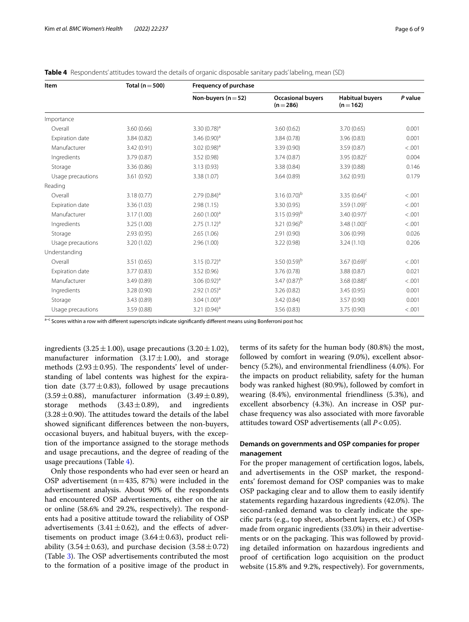| Item              | Total ( $n = 500$ ) | <b>Frequency of purchase</b> |                                       |                                     |         |  |
|-------------------|---------------------|------------------------------|---------------------------------------|-------------------------------------|---------|--|
|                   |                     | Non-buyers ( $n = 52$ )      | <b>Occasional buyers</b><br>$(n=286)$ | <b>Habitual buyers</b><br>$(n=162)$ | P value |  |
| Importance        |                     |                              |                                       |                                     |         |  |
| Overall           | 3.60(0.66)          | $3.30(0.78)^a$               | 3.60(0.62)                            | 3.70(0.65)                          | 0.001   |  |
| Expiration date   | 3.84(0.82)          | 3.46 $(0.90)^a$              | 3.84(0.78)                            | 3.96(0.83)                          | 0.001   |  |
| Manufacturer      | 3.42(0.91)          | $3.02(0.98)^a$               | 3.39(0.90)                            | 3.59(0.87)                          | < 0.001 |  |
| Ingredients       | 3.79(0.87)          | 3.52(0.98)                   | 3.74(0.87)                            | 3.95 $(0.82)^c$                     | 0.004   |  |
| Storage           | 3.36(0.86)          | 3.13(0.93)                   | 3.38(0.84)                            | 3.39(0.88)                          | 0.146   |  |
| Usage precautions | 3.61(0.92)          | 3.38 (1.07)                  | 3.64(0.89)                            | 3.62(0.93)                          | 0.179   |  |
| Reading           |                     |                              |                                       |                                     |         |  |
| Overall           | 3.18(0.77)          | $2.79(0.84)^a$               | 3.16 $(0.70)^b$                       | 3.35 $(0.64)^c$                     | < .001  |  |
| Expiration date   | 3.36(1.03)          | 2.98(1.15)                   | 3.30 (0.95)                           | 3.59 $(1.09)^c$                     | < .001  |  |
| Manufacturer      | 3.17(1.00)          | 2.60(1.00) <sup>a</sup>      | 3.15 $(0.99)^b$                       | 3.40 $(0.97)^c$                     | < .001  |  |
| Ingredients       | 3.25(1.00)          | $2.75(1.12)^a$               | 3.21 $(0.96)^b$                       | 3.48 $(1.00)^c$                     | < .001  |  |
| Storage           | 2.93(0.95)          | 2.65(1.06)                   | 2.91(0.90)                            | 3.06 (0.99)                         | 0.026   |  |
| Usage precautions | 3.20 (1.02)         | 2.96(1.00)                   | 3.22(0.98)                            | 3.24(1.10)                          | 0.206   |  |
| Understanding     |                     |                              |                                       |                                     |         |  |
| Overall           | 3.51(0.65)          | $3.15(0.72)^a$               | 3.50 $(0.59)^b$                       | 3.67 $(0.69)^c$                     | < .001  |  |
| Expiration date   | 3.77(0.83)          | 3.52(0.96)                   | 3.76 (0.78)<br>3.88 (0.87)            |                                     | 0.021   |  |
| Manufacturer      | 3.49(0.89)          | 3.06 $(0.92)^a$              | 3.47 $(0.87)^{b}$                     | 3.68 $(0.88)^c$                     | < .001  |  |
| Ingredients       | 3.28(0.90)          | $2.92(1.05)^a$               | 3.26(0.82)                            | 3.45(0.95)                          | 0.001   |  |
| Storage           | 3.43(0.89)          | $3.04(1.00)^a$               | 3.42(0.84)                            | 3.57 (0.90)                         | 0.001   |  |
| Usage precautions | 3.59(0.88)          | 3.21 $(0.94)^a$              | 3.56(0.83)                            | 3.75 (0.90)                         | < .001  |  |

<span id="page-5-0"></span>

|  | Table 4 Respondents' attitudes toward the details of organic disposable sanitary pads' labeling, mean (SD) |  |  |  |
|--|------------------------------------------------------------------------------------------------------------|--|--|--|
|  |                                                                                                            |  |  |  |

a-c Scores within a row with different superscripts indicate significantly different means using Bonferroni post hoc

ingredients  $(3.25 \pm 1.00)$ , usage precautions  $(3.20 \pm 1.02)$ , manufacturer information  $(3.17 \pm 1.00)$ , and storage methods  $(2.93 \pm 0.95)$ . The respondents' level of understanding of label contents was highest for the expiration date (3.77 $\pm$ 0.83), followed by usage precautions  $(3.59 \pm 0.88)$ , manufacturer information  $(3.49 \pm 0.89)$ , storage methods  $(3.43 \pm 0.89)$ , and ingredients  $(3.43 \pm 0.89),$  $(3.28 \pm 0.90)$ . The attitudes toward the details of the label showed signifcant diferences between the non-buyers, occasional buyers, and habitual buyers, with the exception of the importance assigned to the storage methods and usage precautions, and the degree of reading of the usage precautions (Table [4\)](#page-5-0).

Only those respondents who had ever seen or heard an OSP advertisement ( $n=435, 87%$ ) were included in the advertisement analysis. About 90% of the respondents had encountered OSP advertisements, either on the air or online  $(58.6\%$  and  $29.2\%$ , respectively). The respondents had a positive attitude toward the reliability of OSP advertisements  $(3.41 \pm 0.62)$ , and the effects of advertisements on product image  $(3.64 \pm 0.63)$ , product reliability (3.54 $\pm$ 0.63), and purchase decision (3.58 $\pm$ 0.72) (Table [3](#page-4-0)). The OSP advertisements contributed the most to the formation of a positive image of the product in

terms of its safety for the human body (80.8%) the most, followed by comfort in wearing (9.0%), excellent absorbency (5.2%), and environmental friendliness (4.0%). For the impacts on product reliability, safety for the human body was ranked highest (80.9%), followed by comfort in wearing (8.4%), environmental friendliness (5.3%), and excellent absorbency (4.3%). An increase in OSP purchase frequency was also associated with more favorable attitudes toward OSP advertisements (all *P*<0.05).

# **Demands on governments and OSP companies for proper management**

For the proper management of certifcation logos, labels, and advertisements in the OSP market, the respondents' foremost demand for OSP companies was to make OSP packaging clear and to allow them to easily identify statements regarding hazardous ingredients (42.0%). The second-ranked demand was to clearly indicate the specifc parts (e.g., top sheet, absorbent layers, etc.) of OSPs made from organic ingredients (33.0%) in their advertisements or on the packaging. This was followed by providing detailed information on hazardous ingredients and proof of certifcation logo acquisition on the product website (15.8% and 9.2%, respectively). For governments,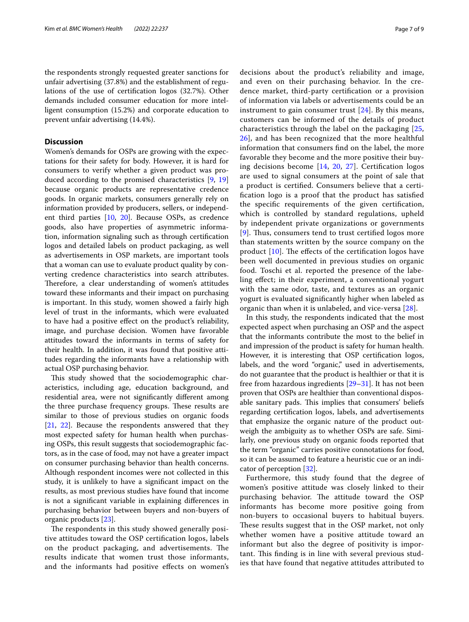the respondents strongly requested greater sanctions for unfair advertising (37.8%) and the establishment of regulations of the use of certifcation logos (32.7%). Other demands included consumer education for more intelligent consumption (15.2%) and corporate education to prevent unfair advertising (14.4%).

# **Discussion**

Women's demands for OSPs are growing with the expectations for their safety for body. However, it is hard for consumers to verify whether a given product was produced according to the promised characteristics [[9,](#page-8-8) [19](#page-8-9)] because organic products are representative credence goods. In organic markets, consumers generally rely on information provided by producers, sellers, or independent third parties [[10,](#page-8-10) [20\]](#page-8-11). Because OSPs, as credence goods, also have properties of asymmetric information, information signaling such as through certifcation logos and detailed labels on product packaging, as well as advertisements in OSP markets, are important tools that a woman can use to evaluate product quality by converting credence characteristics into search attributes. Therefore, a clear understanding of women's attitudes toward these informants and their impact on purchasing is important. In this study, women showed a fairly high level of trust in the informants, which were evaluated to have had a positive efect on the product's reliability, image, and purchase decision. Women have favorable attitudes toward the informants in terms of safety for their health. In addition, it was found that positive attitudes regarding the informants have a relationship with actual OSP purchasing behavior.

This study showed that the sociodemographic characteristics, including age, education background, and residential area, were not signifcantly diferent among the three purchase frequency groups. These results are similar to those of previous studies on organic foods [[21,](#page-8-12) [22\]](#page-8-13). Because the respondents answered that they most expected safety for human health when purchasing OSPs, this result suggests that sociodemographic factors, as in the case of food, may not have a greater impact on consumer purchasing behavior than health concerns. Although respondent incomes were not collected in this study, it is unlikely to have a signifcant impact on the results, as most previous studies have found that income is not a signifcant variable in explaining diferences in purchasing behavior between buyers and non-buyers of organic products [[23](#page-8-14)].

The respondents in this study showed generally positive attitudes toward the OSP certifcation logos, labels on the product packaging, and advertisements. The results indicate that women trust those informants, and the informants had positive efects on women's decisions about the product's reliability and image, and even on their purchasing behavior. In the credence market, third-party certifcation or a provision of information via labels or advertisements could be an instrument to gain consumer trust [[24](#page-8-15)]. By this means, customers can be informed of the details of product characteristics through the label on the packaging [\[25](#page-8-16), [26\]](#page-8-17), and has been recognized that the more healthful information that consumers fnd on the label, the more favorable they become and the more positive their buying decisions become [[14,](#page-8-4) [20,](#page-8-11) [27](#page-8-18)]. Certifcation logos are used to signal consumers at the point of sale that a product is certifed. Consumers believe that a certifcation logo is a proof that the product has satisfed the specifc requirements of the given certifcation, which is controlled by standard regulations, upheld by independent private organizations or governments [[9](#page-8-8)]. Thus, consumers tend to trust certified logos more than statements written by the source company on the product  $[10]$  $[10]$ . The effects of the certification logos have been well documented in previous studies on organic food. Toschi et al. reported the presence of the labeling efect; in their experiment, a conventional yogurt with the same odor, taste, and textures as an organic yogurt is evaluated signifcantly higher when labeled as organic than when it is unlabeled, and vice-versa [[28](#page-8-19)].

In this study, the respondents indicated that the most expected aspect when purchasing an OSP and the aspect that the informants contribute the most to the belief in and impression of the product is safety for human health. However, it is interesting that OSP certifcation logos, labels, and the word "organic," used in advertisements, do not guarantee that the product is healthier or that it is free from hazardous ingredients [[29–](#page-8-20)[31\]](#page-8-21). It has not been proven that OSPs are healthier than conventional disposable sanitary pads. This implies that consumers' beliefs regarding certifcation logos, labels, and advertisements that emphasize the organic nature of the product outweigh the ambiguity as to whether OSPs are safe. Similarly, one previous study on organic foods reported that the term "organic" carries positive connotations for food, so it can be assumed to feature a heuristic cue or an indicator of perception [\[32\]](#page-8-22).

Furthermore, this study found that the degree of women's positive attitude was closely linked to their purchasing behavior. The attitude toward the OSP informants has become more positive going from non-buyers to occasional buyers to habitual buyers. These results suggest that in the OSP market, not only whether women have a positive attitude toward an informant but also the degree of positivity is important. This finding is in line with several previous studies that have found that negative attitudes attributed to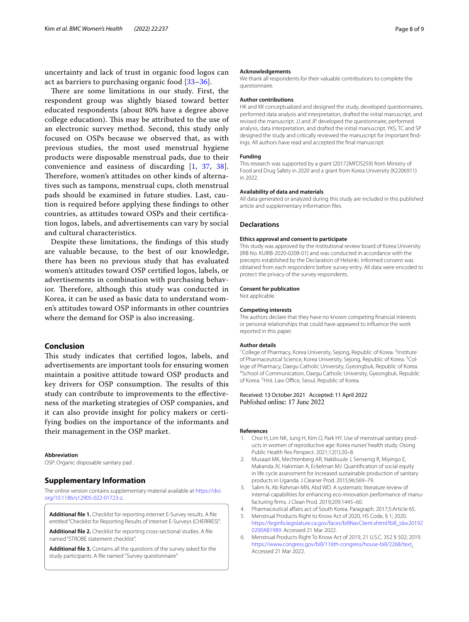uncertainty and lack of trust in organic food logos can act as barriers to purchasing organic food [\[33–](#page-8-23)[36\]](#page-8-24).

There are some limitations in our study. First, the respondent group was slightly biased toward better educated respondents (about 80% have a degree above college education). This may be attributed to the use of an electronic survey method. Second, this study only focused on OSPs because we observed that, as with previous studies, the most used menstrual hygiene products were disposable menstrual pads, due to their convenience and easiness of discarding [\[1](#page-7-0), [37,](#page-8-25) [38\]](#page-8-26). Therefore, women's attitudes on other kinds of alternatives such as tampons, menstrual cups, cloth menstrual pads should be examined in future studies. Last, caution is required before applying these fndings to other countries, as attitudes toward OSPs and their certifcation logos, labels, and advertisements can vary by social and cultural characteristics.

Despite these limitations, the fndings of this study are valuable because, to the best of our knowledge, there has been no previous study that has evaluated women's attitudes toward OSP certifed logos, labels, or advertisements in combination with purchasing behavior. Therefore, although this study was conducted in Korea, it can be used as basic data to understand women's attitudes toward OSP informants in other countries where the demand for OSP is also increasing.

#### **Conclusion**

This study indicates that certified logos, labels, and advertisements are important tools for ensuring women maintain a positive attitude toward OSP products and key drivers for OSP consumption. The results of this study can contribute to improvements to the efectiveness of the marketing strategies of OSP companies, and it can also provide insight for policy makers or certifying bodies on the importance of the informants and their management in the OSP market.

#### **Abbreviation**

OSP: Organic disposable sanitary pad .

#### **Supplementary Information**

The online version contains supplementary material available at [https://doi.](https://doi.org/10.1186/s12905-022-01723-z) [org/10.1186/s12905-022-01723-z.](https://doi.org/10.1186/s12905-022-01723-z)

<span id="page-7-7"></span><span id="page-7-6"></span>**Additional fle 1.** Checklist for reporting internet E-Survey results. A fle entitled "Checklist for Reporting Results of Internet E-Surveys (CHERRIES)".

<span id="page-7-8"></span>**Additional fle 2.** Checklist for reporting cross-sectional studies. A fle named "STROBE statement checklist".

**Additional fle 3.** Contains all the questions of the survey asked for the study participants. A fle named "Survey questionnaire"

#### **Acknowledgements**

We thank all respondents for their valuable contributions to complete the questionnaire.

#### **Author contributions**

HK and KK conceptualized and designed the study, developed questionnaires, performed data analysis and interpretation, drafted the initial manuscript, and revised the manuscript. JJ and JP developed the questionnaire, performed analysis, data interpretation, and drafted the initial manuscript. YKS, TC and SP designed the study and critically reviewed the manuscript for important findings. All authors have read and accepted the fnal manuscript.

#### **Funding**

This research was supported by a grant (20172MFDS259) from Ministry of Food and Drug Safety in 2020 and a grant from Korea University (K2206911) in 2022.

#### **Availability of data and materials**

All data generated or analyzed during this study are included in this published article and supplementary information fles.

#### **Declarations**

#### **Ethics approval and consent to participate**

This study was approved by the institutional review board of Korea University (IRB No. KUIRB-2020-0208-01) and was conducted in accordance with the precepts established by the Declaration of Helsinki. Informed consent was obtained from each respondent before survey entry. All data were encoded to protect the privacy of the survey respondents.

#### **Consent for publication**

Not applicable.

#### **Competing interests**

The authors declare that they have no known competing fnancial interests or personal relationships that could have appeared to infuence the work reported in this paper.

#### **Author details**

<sup>1</sup> College of Pharmacy, Korea University, Sejong, Republic of Korea. <sup>2</sup>Institute of Pharmaceutical Science, Korea University, Sejong, Republic of Korea. <sup>3</sup>College of Pharmacy, Daegu Catholic University, Gyeongbuk, Republic of Korea. 4 <sup>4</sup>School of Communication, Daegu Catholic University, Gyeongbuk, Republic of Korea. <sup>5</sup> HnL Law Office, Seoul, Republic of Korea.

# Received: 13 October 2021 Accepted: 11 April 2022

#### **References**

- <span id="page-7-0"></span>1. Choi H, Lim NK, Jung H, Kim O, Park HY. Use of menstrual sanitary products in women of reproductive age: Korea nurses' health study. Osong Public Health Res Perspect. 2021;12(1):20–8.
- <span id="page-7-1"></span>2. Musaazi MK, Mechtenberg AR, Nakibuule J, Sensenig R, Miyingo E, Makanda JV, Hakimian A, Eckelman MJ. Quantifcation of social equity in life cycle assessment for increased sustainable production of sanitary products in Uganda. J Cleaner Prod. 2015;96:569–79.
- <span id="page-7-2"></span>3. Salim N, Ab Rahman MN, Abd WD. A systematic literature review of internal capabilities for enhancing eco-innovation performance of manufacturing frms. J Clean Prod. 2019;209:1445–60.
- <span id="page-7-3"></span>4. Pharmaceutical afairs act of South Korea. Paragraph. 2017;5:Article 65.
- <span id="page-7-4"></span>5. Menstrual Products Right to Know Act of 2020, HS Code, § 1; 2020. [https://leginfo.legislature.ca.gov/faces/billNavClient.xhtml?bill\\_id](https://leginfo.legislature.ca.gov/faces/billNavClient.xhtml?bill_id=201920200AB1989)=20192 [0200AB1989](https://leginfo.legislature.ca.gov/faces/billNavClient.xhtml?bill_id=201920200AB1989). Accessed 21 Mar 2022.
- <span id="page-7-5"></span>6. Menstrual Products Right To Know Act of 2019, 21 U.S.C. 352 § 502; 2019. <https://www.congress.gov/bill/116th-congress/house-bill/2268/text>. Accessed 21 Mar 2022.